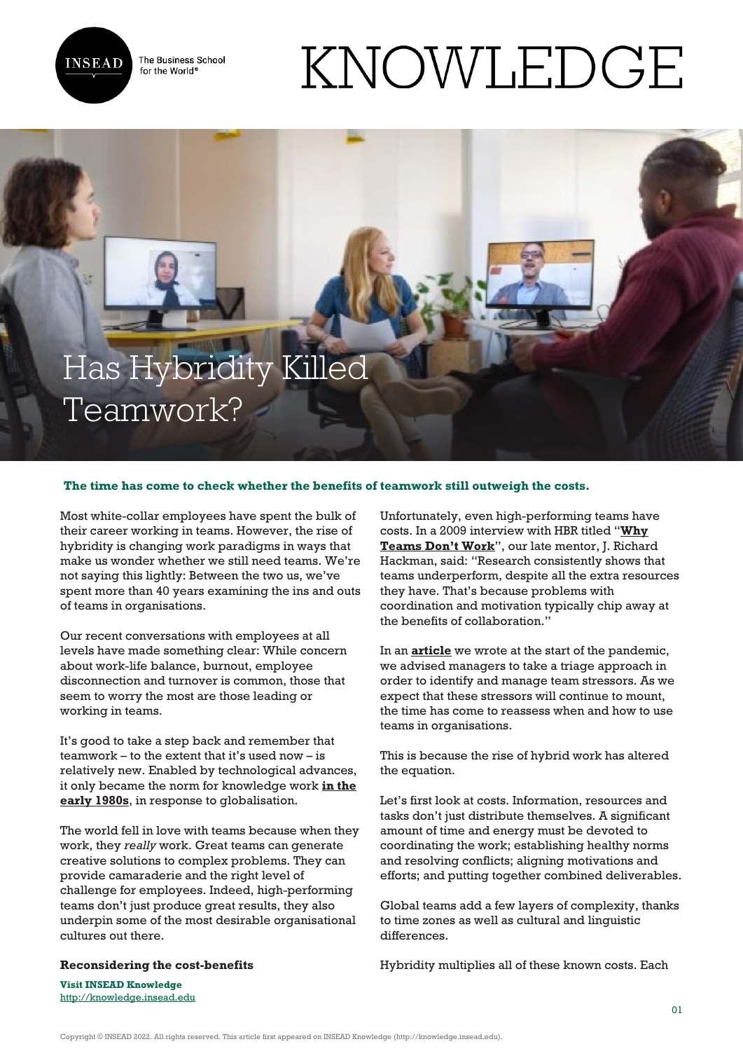

The Business School for the World<sup>®</sup>

# KNOWLEDGE

# Has Hybridity Killed Teamwork?

## **The time has come to check whether the benefits of teamwork still outweigh the costs.**

Most white-collar employees have spent the bulk of their career working in teams. However, the rise of hybridity is changing work paradigms in ways that make us wonder whether we still need teams. We're not saying this lightly: Between the two us, we've spent more than 40 years examining the ins and outs of teams in organisations.

Our recent conversations with employees at all levels have made something clear: While concern about work-life balance, burnout, employee disconnection and turnover is common, those that seem to worry the most are those leading or working in teams.

It's good to take a step back and remember that teamwork – to the extent that it's used now – is relatively new. Enabled by technological advances, it only became the norm for knowledge work **[in the](https://ecommons.cornell.edu/handle/1813/75229) [early 1980s](https://ecommons.cornell.edu/handle/1813/75229)**, in response to globalisation.

The world fell in love with teams because when they work, they *really* work. Great teams can generate creative solutions to complex problems. They can provide camaraderie and the right level of challenge for employees. Indeed, high-performing teams don't just produce great results, they also underpin some of the most desirable organisational cultures out there.

#### **Reconsidering the cost-benefits**

Unfortunately, even high-performing teams have costs. In a 2009 interview with HBR titled "**[Why](https://hbr.org/2009/05/why-teams-dont-work) [Teams Don't Work](https://hbr.org/2009/05/why-teams-dont-work)**", our late mentor, J. Richard Hackman, said: "Research consistently shows that teams underperform, despite all the extra resources they have. That's because problems with coordination and motivation typically chip away at the benefits of collaboration."

In an **[article](https://hbr.org/2020/05/how-to-prepare-your-virtual-teams-for-the-long-haul)** we wrote at the start of the pandemic, we advised managers to take a triage approach in order to identify and manage team stressors. As we expect that these stressors will continue to mount, the time has come to reassess when and how to use teams in organisations.

This is because the rise of hybrid work has altered the equation.

Let's first look at costs. Information, resources and tasks don't just distribute themselves. A significant amount of time and energy must be devoted to coordinating the work; establishing healthy norms and resolving conflicts; aligning motivations and efforts; and putting together combined deliverables.

Global teams add a few layers of complexity, thanks to time zones as well as cultural and linguistic differences.

Hybridity multiplies all of these known costs. Each

**Visit INSEAD Knowledge** <http://knowledge.insead.edu>

Copyright © INSEAD 2022. All rights reserved. This article first appeared on INSEAD Knowledge (http://knowledge.insead.edu).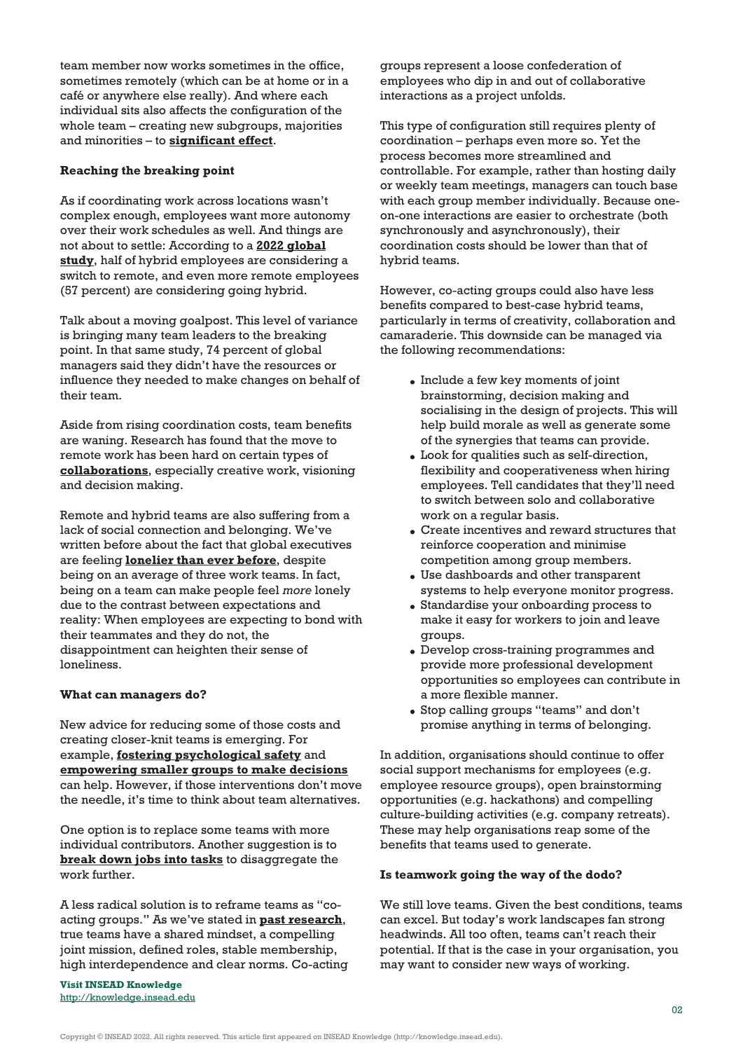team member now works sometimes in the office, sometimes remotely (which can be at home or in a café or anywhere else really). And where each individual sits also affects the configuration of the whole team – creating new subgroups, majorities and minorities – to **[significant effect](https://sloanreview.mit.edu/article/a-surprising-truth-about-geographically-dispersed-teams/)**.

## **Reaching the breaking point**

As if coordinating work across locations wasn't complex enough, employees want more autonomy over their work schedules as well. And things are not about to settle: According to a **[2022 global](https://www.microsoft.com/en-us/worklab/work-trend-index/great-expectations-making-hybrid-work-work) [study](https://www.microsoft.com/en-us/worklab/work-trend-index/great-expectations-making-hybrid-work-work)**, half of hybrid employees are considering a switch to remote, and even more remote employees (57 percent) are considering going hybrid.

Talk about a moving goalpost. This level of variance is bringing many team leaders to the breaking point. In that same study, 74 percent of global managers said they didn't have the resources or influence they needed to make changes on behalf of their team.

Aside from rising coordination costs, team benefits are waning. Research has found that the move to remote work has been hard on certain types of **[collaborations](https://www.microsoft.com/en-us/research/uploads/prod/2021/01/NewFutureOfWorkReport.pdf)**, especially creative work, visioning and decision making.

Remote and hybrid teams are also suffering from a lack of social connection and belonging. We've written before about the fact that global executives are feeling **[lonelier than ever before](https://knowledge.insead.edu/leadership-organisations/four-ways-todays-teams-are-making-us-lonely-16466)**, despite being on an average of three work teams. In fact, being on a team can make people feel *more* lonely due to the contrast between expectations and reality: When employees are expecting to bond with their teammates and they do not, the disappointment can heighten their sense of loneliness.

#### **What can managers do?**

New advice for reducing some of those costs and creating closer-knit teams is emerging. For example, **[fostering psychological safety](https://knowledge.insead.edu/blog/insead-blog/without-psychological-safety-hybrid-work-wont-work-16751)** and **[empowering smaller groups to make decisions](https://hbr.org/2022/02/4-ways-managers-can-increase-flexibility-without-losing-productivity)** can help. However, if those interventions don't move the needle, it's time to think about team alternatives.

One option is to replace some teams with more individual contributors. Another suggestion is to **[break down jobs into tasks](https://sloanreview.mit.edu/article/cant-fill-jobs-deconstruct-them/)** to disaggregate the work further.

A less radical solution is to reframe teams as "coacting groups." As we've stated in **[past research](https://hbr.org/2016/06/the-secrets-of-great-teamwork)**, true teams have a shared mindset, a compelling joint mission, defined roles, stable membership, high interdependence and clear norms. Co-acting

**Visit INSEAD Knowledge** <http://knowledge.insead.edu>

groups represent a loose confederation of employees who dip in and out of collaborative interactions as a project unfolds.

This type of configuration still requires plenty of coordination – perhaps even more so. Yet the process becomes more streamlined and controllable. For example, rather than hosting daily or weekly team meetings, managers can touch base with each group member individually. Because oneon-one interactions are easier to orchestrate (both synchronously and asynchronously), their coordination costs should be lower than that of hybrid teams.

However, co-acting groups could also have less benefits compared to best-case hybrid teams, particularly in terms of creativity, collaboration and camaraderie. This downside can be managed via the following recommendations:

- Include a few key moments of joint brainstorming, decision making and socialising in the design of projects. This will help build morale as well as generate some of the synergies that teams can provide.
- Look for qualities such as self-direction, flexibility and cooperativeness when hiring employees. Tell candidates that they'll need to switch between solo and collaborative work on a regular basis.
- Create incentives and reward structures that reinforce cooperation and minimise competition among group members.
- Use dashboards and other transparent systems to help everyone monitor progress.
- Standardise your onboarding process to make it easy for workers to join and leave groups.
- Develop cross-training programmes and provide more professional development opportunities so employees can contribute in a more flexible manner.
- Stop calling groups "teams" and don't promise anything in terms of belonging.

In addition, organisations should continue to offer social support mechanisms for employees (e.g. employee resource groups), open brainstorming opportunities (e.g. hackathons) and compelling culture-building activities (e.g. company retreats). These may help organisations reap some of the benefits that teams used to generate.

#### **Is teamwork going the way of the dodo?**

We still love teams. Given the best conditions, teams can excel. But today's work landscapes fan strong headwinds. All too often, teams can't reach their potential. If that is the case in your organisation, you may want to consider new ways of working.

Copyright © INSEAD 2022. All rights reserved. This article first appeared on INSEAD Knowledge (http://knowledge.insead.edu).